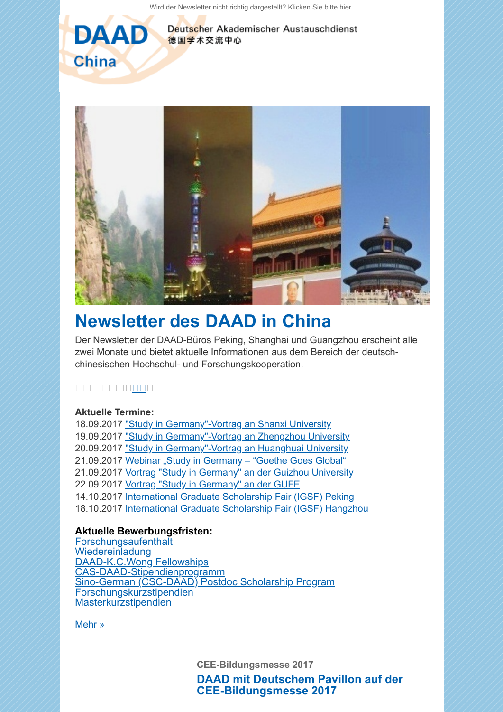[Wird der Newsletter nicht richtig dargestellt? Klicken Sie bitte hier.](https://scnem.com/a.php?sid=b7edu.5pfba3,f=1,n=b7edu.5pfba3,l=hwla1t.1mjhqr7)



Deutscher Akademischer Austauschdienst 德国学术交流中心



## **[Newsletter des DAAD in China](https://scnem.com/a.php?sid=b7edu.5pfba3,f=6,n=b7edu.5pfba3,artref=6872676,l=hwla10.295jptj)**

Der Newsletter der DAAD-Büros Peking, Shanghai und Guangzhou erscheint alle zwei Monate und bietet aktuelle Informationen aus dem Bereich der deutschchinesischen Hochschul- und Forschungskooperation.

## 00000000000

## **Aktuelle Termine:**

18.09.2017 ["Study in Germany"-Vortrag an Shanxi University](http://scnem.com/goto.php?l=hwla12.2prgrls,u=8ccc717101048a39,n=b7edu.5pfba3,art_id=b7edv.2s0ltl3) 19.09.2017 ["Study in Germany"-Vortrag an Zhengzhou University](http://scnem.com/goto.php?l=hwla13.7rcpje,u=8ccc717101048a39,n=b7edu.5pfba3,art_id=b7edv.2s0ltl3) 20.09.2017 ["Study in Germany"-Vortrag an Huanghuai University](http://scnem.com/goto.php?l=hwla14.7dne11,u=8ccc717101048a39,n=b7edu.5pfba3,art_id=b7edv.2s0ltl3) 21.09.2017 Webinar "Study in Germany - "Goethe Goes Global" 21.09.2017 [Vortrag "Study in Germany" an der Guizhou University](http://scnem.com/goto.php?l=hwla16.io3epf,u=8ccc717101048a39,n=b7edu.5pfba3,art_id=b7edv.2s0ltl3) 22.09.2017 [Vortrag "Study in Germany" an der GUFE](http://scnem.com/goto.php?l=hwla17.2eln4sr,u=8ccc717101048a39,n=b7edu.5pfba3,art_id=b7edv.2s0ltl3) 14.10.2017 [International Graduate Scholarship Fair \(IGSF\) Peking](http://scnem.com/goto.php?l=hwla18.9c6fga,u=8ccc717101048a39,n=b7edu.5pfba3,art_id=b7edv.2s0ltl3) 18.10.2017 [International Graduate Scholarship Fair \(IGSF\) Hangzhou](http://scnem.com/goto.php?l=hwla19.2okdr68,u=8ccc717101048a39,n=b7edu.5pfba3,art_id=b7edv.2s0ltl3)

## **Aktuelle Bewerbungsfristen:**

**[Forschungsaufenthalt](http://scnem.com/goto.php?l=hwla1a.jggekm,u=8ccc717101048a39,n=b7edu.5pfba3,art_id=b7edv.2s0ltl3)** [Wiedereinladung](http://scnem.com/goto.php?l=hwla1b.2e37t1a,u=8ccc717101048a39,n=b7edu.5pfba3,art_id=b7edv.2s0ltl3) [DAAD-K.C.Wong Fellowships](http://scnem.com/goto.php?l=hwla1c.2ojlj7,u=8ccc717101048a39,n=b7edu.5pfba3,art_id=b7edv.2s0ltl3) S-DAAD-Stipendienprogramm [Sino-German \(CSC-DAAD\) Postdoc Scholarship Program](http://scnem.com/goto.php?l=hwla1e.dkrpqm,u=8ccc717101048a39,n=b7edu.5pfba3,art_id=b7edv.2s0ltl3) [Forschungskurzstipendien](http://scnem.com/goto.php?l=hwla1f.29i76pa,u=8ccc717101048a39,n=b7edu.5pfba3,art_id=b7edv.2s0ltl3) **[Masterkurzstipendien](http://scnem.com/goto.php?l=hwla1g.1eif5s,u=8ccc717101048a39,n=b7edu.5pfba3,art_id=b7edv.2s0ltl3)** 

[Mehr »](https://scnem.com/a.php?sid=b7edu.5pfba3,f=6,n=b7edu.5pfba3,artref=6872676,l=hwla10.295jptj)

**CEE-Bildungsmesse 2017**

**[DAAD mit Deutschem Pavillon auf der](https://scnem.com/a.php?sid=b7edu.5pfba3,f=6,n=b7edu.5pfba3,artref=6872681,l=hwla1h.2kpth12) CEE-Bildungsmesse 2017**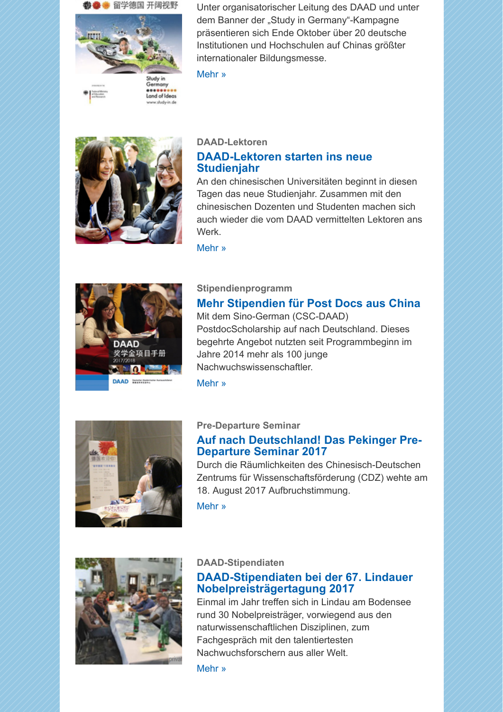

Unter organisatorischer Leitung des DAAD und unter dem Banner der "Study in Germany"-Kampagne präsentieren sich Ende Oktober über 20 deutsche Institutionen und Hochschulen auf Chinas größter internationaler Bildungsmesse.

[Mehr »](https://scnem.com/a.php?sid=b7edu.5pfba3,f=6,n=b7edu.5pfba3,artref=6872681,l=hwla1h.2kpth12)



## **DAAD-Lektoren [DAAD-Lektoren starten ins neue](https://scnem.com/a.php?sid=b7edu.5pfba3,f=6,n=b7edu.5pfba3,artref=6872680,l=hwla1i.e9bpcj) Studienjahr**

An den chinesischen Universitäten beginnt in diesen Tagen das neue Studienjahr. Zusammen mit den chinesischen Dozenten und Studenten machen sich auch wieder die vom DAAD vermittelten Lektoren ans Werk.

[Mehr »](https://scnem.com/a.php?sid=b7edu.5pfba3,f=6,n=b7edu.5pfba3,artref=6872680,l=hwla1i.e9bpcj)



## **Stipendienprogramm**

## **[Mehr Stipendien für Post Docs aus China](https://scnem.com/a.php?sid=b7edu.5pfba3,f=6,n=b7edu.5pfba3,artref=6872679,l=hwla1j.28pn0g9)**

Mit dem Sino-German (CSC-DAAD) PostdocScholarship auf nach Deutschland. Dieses begehrte Angebot nutzten seit Programmbeginn im Jahre 2014 mehr als 100 junge Nachwuchswissenschaftler.

[Mehr »](https://scnem.com/a.php?sid=b7edu.5pfba3,f=6,n=b7edu.5pfba3,artref=6872679,l=hwla1j.28pn0g9)



## **Pre-Departure Seminar**

## **[Auf nach Deutschland! Das Pekinger Pre-](https://scnem.com/a.php?sid=b7edu.5pfba3,f=6,n=b7edu.5pfba3,artref=6872678,l=hwla1k.3ji75j)Departure Seminar 2017**

Durch die Räumlichkeiten des Chinesisch-Deutschen Zentrums für Wissenschaftsförderung (CDZ) wehte am 18. August 2017 Aufbruchstimmung.

[Mehr »](https://scnem.com/a.php?sid=b7edu.5pfba3,f=6,n=b7edu.5pfba3,artref=6872678,l=hwla1k.3ji75j)



## **DAAD-Stipendiaten**

## **[DAAD-Stipendiaten bei der 67. Lindauer](https://scnem.com/a.php?sid=b7edu.5pfba3,f=6,n=b7edu.5pfba3,artref=6872677,l=hwla1l.2irf93t) Nobelpreisträgertagung 2017**

Einmal im Jahr treffen sich in Lindau am Bodensee rund 30 Nobelpreisträger, vorwiegend aus den naturwissenschaftlichen Disziplinen, zum Fachgespräch mit den talentiertesten Nachwuchsforschern aus aller Welt.

[Mehr »](https://scnem.com/a.php?sid=b7edu.5pfba3,f=6,n=b7edu.5pfba3,artref=6872677,l=hwla1l.2irf93t)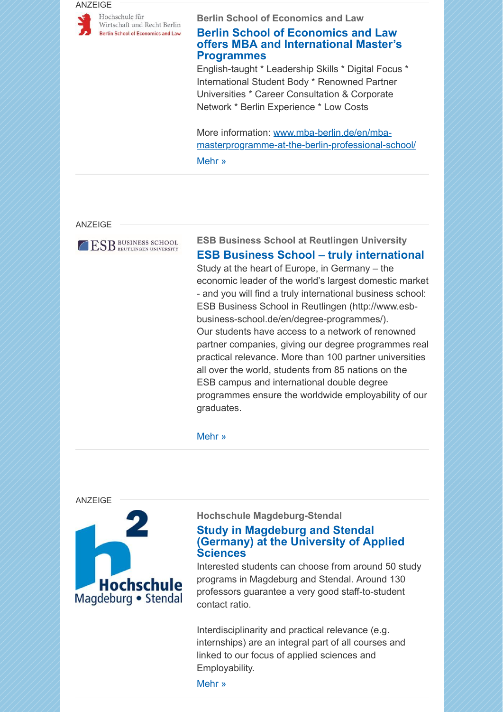#### ANZEIGE



**Berlin School of Economics and Law**

## **Berlin School of Economics and Law [offers MBA and International Master's](https://scnem.com/a.php?sid=b7edu.5pfba3,f=6,n=b7edu.5pfba3,artref=6872682,l=hwla1m.k1mebq) Programmes**

English-taught \* Leadership Skills \* Digital Focus \* International Student Body \* Renowned Partner Universities \* Career Consultation & Corporate Network \* Berlin Experience \* Low Costs

More information: www.mba-berlin.de/en/mba[masterprogramme-at-the-berlin-professional-school/](http://scnem.com/goto.php?l=hwla1n.2d6b5ge,u=8ccc717101048a39,n=b7edu.5pfba3,art_id=b7ee8.p09t8d) [Mehr »](https://scnem.com/a.php?sid=b7edu.5pfba3,f=6,n=b7edu.5pfba3,artref=6872682,l=hwla1m.k1mebq)

#### ANZEIGE



## **ESB Business School at Reutlingen University [ESB Business School – truly international](https://scnem.com/a.php?sid=b7edu.5pfba3,f=6,n=b7edu.5pfba3,artref=6872683,l=hwla1o.1bg4208)**

Study at the heart of Europe, in Germany – the economic leader of the world's largest domestic market - and you will find a truly international business school: ESB Business School in Reutlingen (http://www.esbbusiness-school.de/en/degree-programmes/). Our students have access to a network of renowned partner companies, giving our degree programmes real practical relevance. More than 100 partner universities all over the world, students from 85 nations on the ESB campus and international double degree programmes ensure the worldwide employability of our graduates.

#### [Mehr »](https://scnem.com/a.php?sid=b7edu.5pfba3,f=6,n=b7edu.5pfba3,artref=6872683,l=hwla1o.1bg4208)

ANZEIGE



#### **Hochschule Magdeburg-Stendal**

## **Study in Magdeburg and Stendal [\(Germany\) at the University of Applied](https://scnem.com/a.php?sid=b7edu.5pfba3,f=6,n=b7edu.5pfba3,artref=6872684,l=hwla1p.1lr79qi) Sciences**

Interested students can choose from around 50 study programs in Magdeburg and Stendal. Around 130 professors guarantee a very good staff-to-student contact ratio.

Interdisciplinarity and practical relevance (e.g. internships) are an integral part of all courses and linked to our focus of applied sciences and Employability.

[Mehr »](https://scnem.com/a.php?sid=b7edu.5pfba3,f=6,n=b7edu.5pfba3,artref=6872684,l=hwla1p.1lr79qi)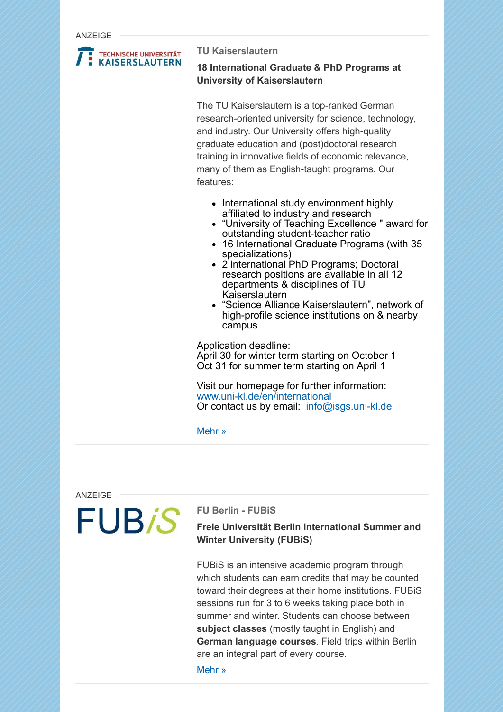ANZEIGE



#### **TU Kaiserslautern**

## **18 International Graduate & PhD Programs at University of Kaiserslautern**

The TU Kaiserslautern is a top-ranked German research-oriented university for science, technology, and industry. Our University offers high-quality graduate education and (post)doctoral research training in innovative fields of economic relevance, many of them as English-taught programs. Our features:

- International study environment highly affiliated to industry and research
- "University of Teaching Excellence " award for outstanding student-teacher ratio
- 16 International Graduate Programs (with 35 specializations)
- 2 international PhD Programs: Doctoral research positions are available in all 12 departments & disciplines of TU Kaiserslautern
- "Science Alliance Kaiserslautern", network of high-profile science institutions on & nearby campus

Application deadline: April 30 for winter term starting on October 1 Oct 31 for summer term starting on April 1

Visit our homepage for further information: [www.uni-kl.de/en/international](http://scnem.com/goto.php?l=hwla1r.22m6ap4,u=8ccc717101048a39,n=b7edu.5pfba3,art_id=b7eef.1nal3bp) Or contact us by email: [info@isgs.uni-kl.de](mailto:info@isgs.uni-kl.de)

[Mehr »](https://scnem.com/a.php?sid=b7edu.5pfba3,f=6,n=b7edu.5pfba3,artref=6872685,l=hwla1q.11jh5j6)

ANZEIGE

# **FUB<sub>i</sub>S**

## **FU Berlin - FUBiS**

## **Freie Universität Berlin International Summer and Winter University (FUBiS)**

FUBiS is an intensive academic program through which students can earn credits that may be counted toward their degrees at their home institutions. FUBiS sessions run for 3 to 6 weeks taking place both in summer and winter. Students can choose between **subject classes** (mostly taught in English) and **German language courses**. Field trips within Berlin are an integral part of every course.

[Mehr »](https://scnem.com/a.php?sid=b7edu.5pfba3,f=6,n=b7edu.5pfba3,artref=6872686,l=hwla1s.1argd83)